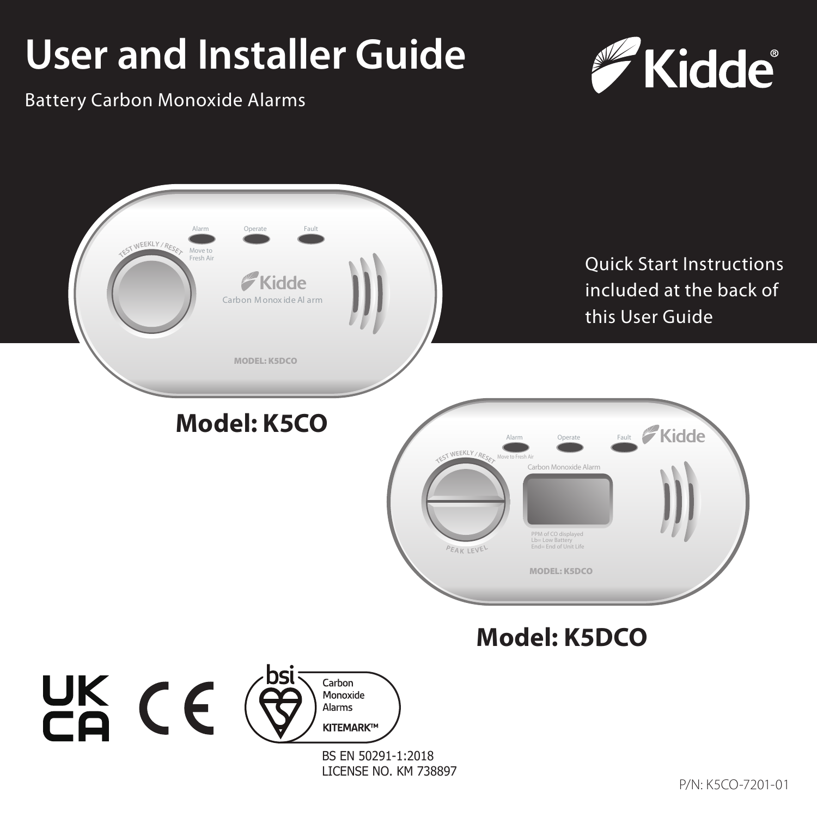# **User and Installer Guide**



Battery Carbon Monoxide Alarms

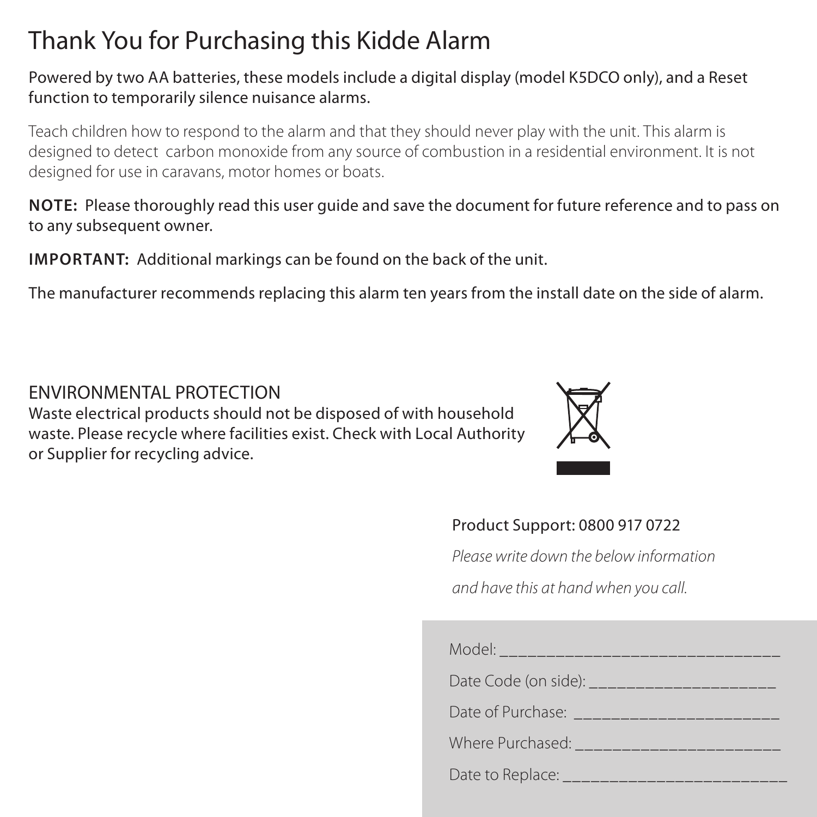### Thank You for Purchasing this Kidde Alarm

#### Powered by two AA batteries, these models include a digital display (model K5DCO only), and a Reset function to temporarily silence nuisance alarms.

Teach children how to respond to the alarm and that they should never play with the unit. This alarm is designed to detect carbon monoxide from any source of combustion in a residential environment. It is not designed for use in caravans, motor homes or boats.

**NOTE:** Please thoroughly read this user guide and save the document for future reference and to pass on to any subsequent owner.

**IMPORTANT:** Additional markings can be found on the back of the unit.

The manufacturer recommends replacing this alarm ten years from the install date on the side of alarm.

ENVIRONMENTAL PROTECTION Waste electrical products should not be disposed of with household waste. Please recycle where facilities exist. Check with Local Authority or Supplier for recycling advice.



#### Product Support: 0800 917 0722

*Please write down the below information and have this at hand when you call.*

| Model:                                      |  |
|---------------------------------------------|--|
| Date Code (on side):                        |  |
| Date of Purchase: <b>Date of Purchase</b> : |  |
| Where Purchased: Minimum                    |  |
| Date to Replace: ___                        |  |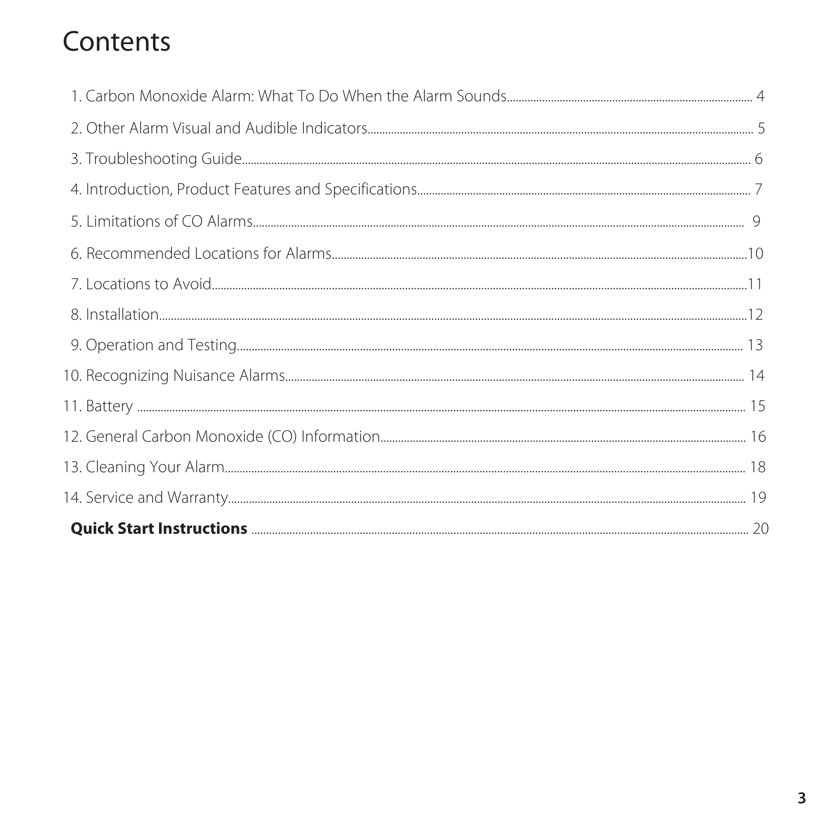### Contents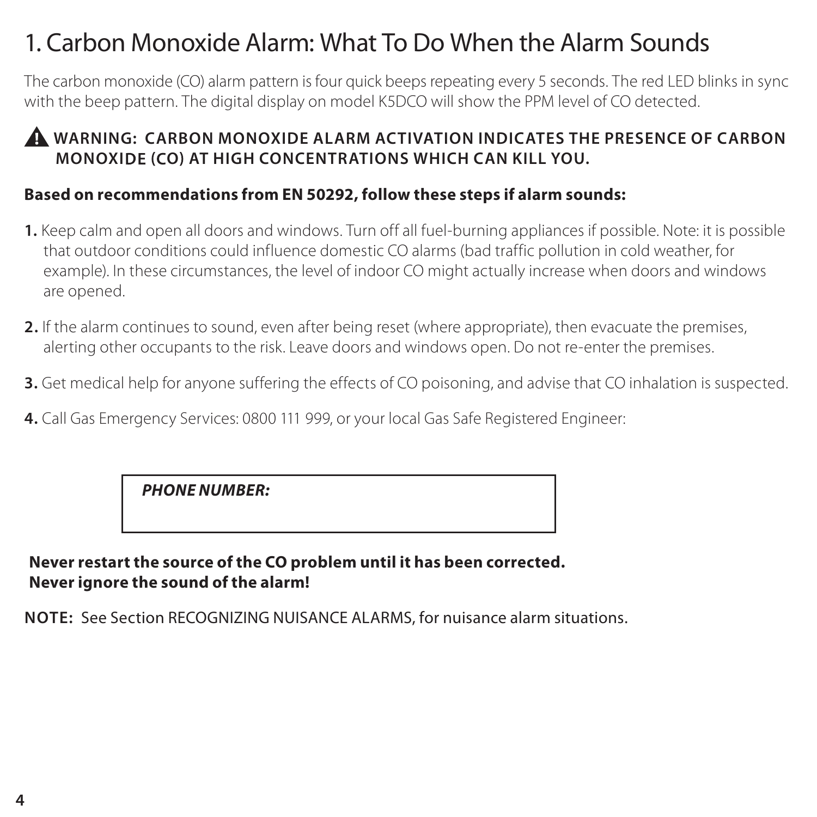### 1. Carbon Monoxide Alarm: What To Do When the Alarm Sounds

The carbon monoxide (CO) alarm pattern is four quick beeps repeating every 5 seconds. The red LED blinks in sync with the beep pattern. The digital display on model K5DCO will show the PPM level of CO detected.

#### **WARNING: CARBON MONOXIDE ALARM ACTIVATION INDICATES THE PRESENCE OF CARBON MONOXI O AT HIGH CONCENTRATIONS WHICH CAN KILL YOU.**

#### **Based on recommendations from EN 50292, follow these steps if alarm sounds:**

- **1.** Keep calm and open all doors and windows. Turn off all fuel-burning appliances if possible. Note: it is possible that outdoor conditions could influence domestic CO alarms (bad traffic pollution in cold weather, for example). In these circumstances, the level of indoor CO might actually increase when doors and windows are opened.
- **2.** If the alarm continues to sound, even after being reset (where appropriate), then evacuate the premises, alerting other occupants to the risk. Leave doors and windows open. Do not re-enter the premises.
- **3.** Get medical help for anyone suffering the effects of CO poisoning, and advise that CO inhalation is suspected.
- **4.** Call Gas Emergency Services: 0800 111 999, or your local Gas Safe Registered Engineer:

#### *PHONE NUMBER:*

#### **Never restart the source of the CO problem until it has been corrected. Never ignore the sound of the alarm!**

**NOTE:** See Section RECOGNIZING NUISANCE ALARMS, for nuisance alarm situations.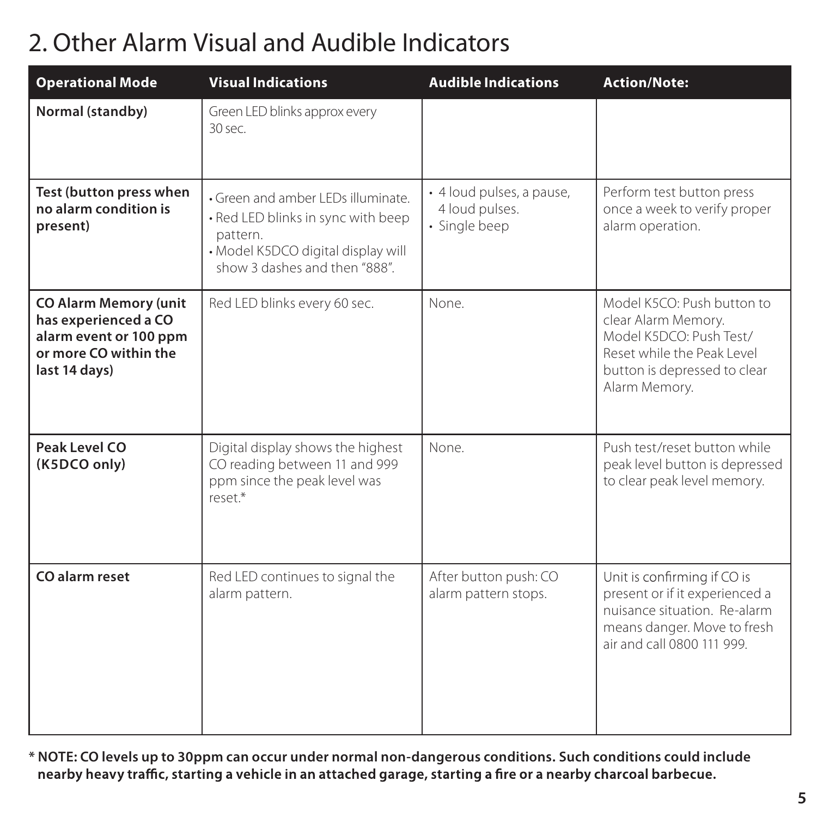### 2. Other Alarm Visual and Audible Indicators

| <b>Operational Mode</b>                                                                                                  | <b>Visual Indications</b>                                                                                                                                   | <b>Audible Indications</b>                                   | <b>Action/Note:</b>                                                                                                                                         |
|--------------------------------------------------------------------------------------------------------------------------|-------------------------------------------------------------------------------------------------------------------------------------------------------------|--------------------------------------------------------------|-------------------------------------------------------------------------------------------------------------------------------------------------------------|
| Normal (standby)                                                                                                         | Green LED blinks approx every<br>30 sec.                                                                                                                    |                                                              |                                                                                                                                                             |
| Test (button press when<br>no alarm condition is<br>present)                                                             | · Green and amber LEDs illuminate.<br>· Red LED blinks in sync with beep<br>pattern.<br>· Model K5DCO digital display will<br>show 3 dashes and then "888". | · 4 loud pulses, a pause,<br>4 loud pulses.<br>· Single beep | Perform test button press<br>once a week to verify proper<br>alarm operation.                                                                               |
| <b>CO Alarm Memory (unit</b><br>has experienced a CO<br>alarm event or 100 ppm<br>or more CO within the<br>last 14 days) | Red LED blinks every 60 sec.                                                                                                                                | None.                                                        | Model K5CO: Push button to<br>clear Alarm Memory.<br>Model K5DCO: Push Test/<br>Reset while the Peak Level<br>button is depressed to clear<br>Alarm Memorv. |
| Peak Level CO<br>(K5DCO only)                                                                                            | Digital display shows the highest<br>CO reading between 11 and 999<br>ppm since the peak level was<br>$r \rho \varsigma \rho \uparrow$ *                    | None.                                                        | Push test/reset button while<br>peak level button is depressed<br>to clear peak level memory.                                                               |
| CO alarm reset                                                                                                           | Red LED continues to signal the<br>alarm pattern.                                                                                                           | After button push: CO<br>alarm pattern stops.                | Unit is confirming if CO is<br>present or if it experienced a<br>nuisance situation. Re-alarm<br>means danger. Move to fresh<br>air and call 0800 111 999.  |

**\* NOTE: CO levels up to 30ppm can occur under normal non-dangerous conditions. Such conditions could include**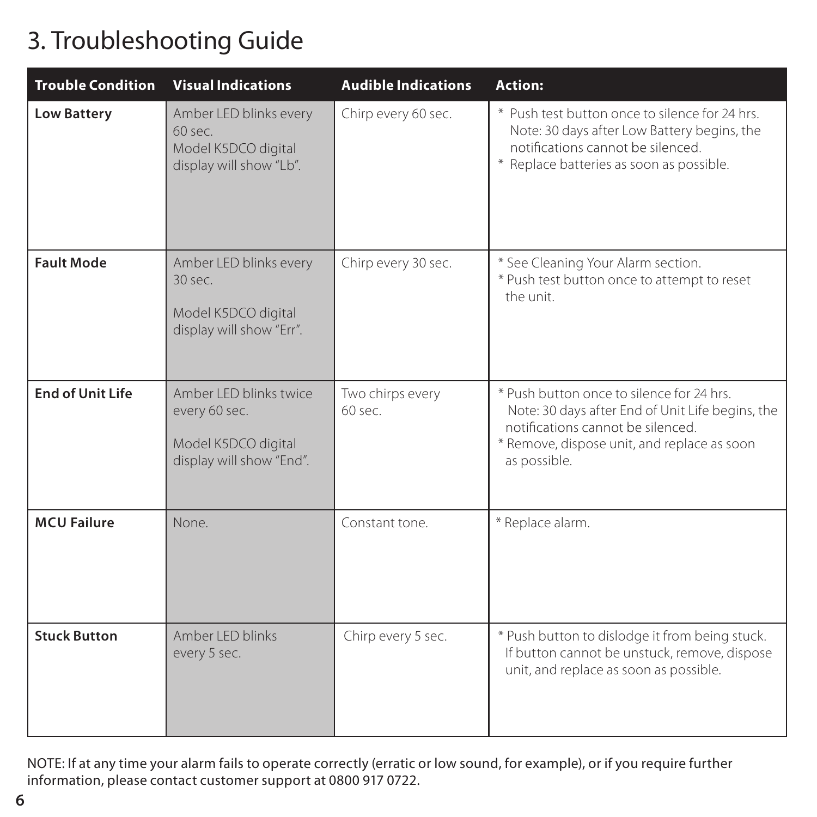### 3. Troubleshooting Guide 3. Troubleshooting Guide

| <b>Trouble Condition</b> | <b>Visual Indications</b>                                                                   | <b>Audible Indications</b>    | Action:                                                                                                                                                                                           |
|--------------------------|---------------------------------------------------------------------------------------------|-------------------------------|---------------------------------------------------------------------------------------------------------------------------------------------------------------------------------------------------|
| <b>Low Battery</b>       | Amber LED blinks every<br>$60$ sec.<br>Model K5DCO digital<br>display will show "Lb".       | Chirp every 60 sec.           | * Push test button once to silence for 24 hrs.<br>Note: 30 days after Low Battery begins, the<br>notifications cannot be silenced.<br>* Replace batteries as soon as possible.                    |
| <b>Fault Mode</b>        | Amber LED blinks every<br>$30$ sec.<br>Model K5DCO digital<br>display will show "Err".      | Chirp every 30 sec.           | * See Cleaning Your Alarm section.<br>* Push test button once to attempt to reset<br>the unit.                                                                                                    |
| <b>End of Unit Life</b>  | Amber I FD blinks twice<br>every 60 sec.<br>Model K5DCO digital<br>display will show "End". | Two chirps every<br>$60$ sec. | * Push button once to silence for 24 hrs.<br>Note: 30 days after End of Unit Life begins, the<br>notifications cannot be silenced.<br>* Remove, dispose unit, and replace as soon<br>as possible. |
| <b>MCU Failure</b>       | None.                                                                                       | Constant tone.                | * Replace alarm.                                                                                                                                                                                  |
| <b>Stuck Button</b>      | Amber I FD blinks<br>every 5 sec.                                                           | Chirp every 5 sec.            | * Push button to dislodge it from being stuck.<br>If button cannot be unstuck, remove, dispose<br>unit, and replace as soon as possible.                                                          |

NOTE: If at any time your alarm fails to operate correctly (erratic or low sound, for example), or if you require further information, please contact customer support at 0800 917 0722.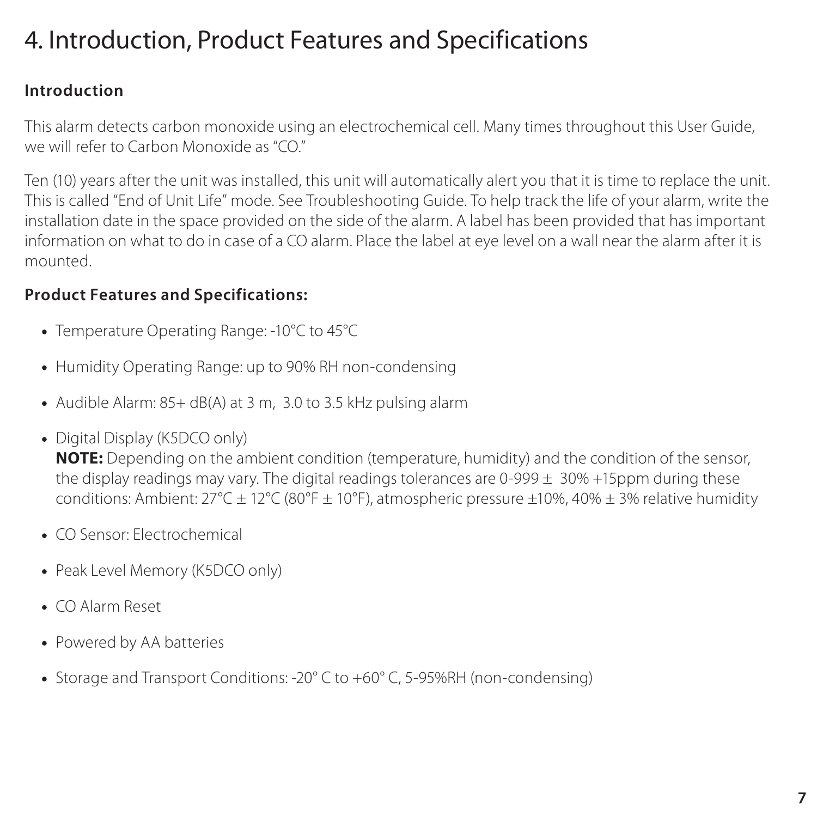### 4. Introduction, Product Features and Specifications

#### **Introduction**

This alarm detects carbon monoxide using an electrochemical cell. Many times throughout this User Guide, we will refer to Carbon Monoxide as "CO"

Ten (10) years after the unit was installed, this unit will automatically alert you that it is time to replace the unit. This is called "End of Unit Life" mode. See Troubleshooting Guide. To help track the life of your alarm, write the installation date in the space provided on the side of the alarm. A label has been provided that has important information on what to do in case of a CO alarm. Place the label at eye level on a wall near the alarm after it is mounted.

### **Product Features and Specifications:**

- Temperature Operating Range: -10°C to 45°C
- Humidity Operating Range: up to 90% RH non-condensing
- Audible Alarm: 85+ dB(A) at 3 m, 3.0 to 3.5 kHz pulsing alarm
- Digital Display (K5DCO only)

**NOTE:** Depending on the ambient condition (temperature, humidity) and the condition of the sensor, the display readings may vary. The digital readings tolerances are  $0-999 + 30% +15$ ppm during these conditions: Ambient: 27°C ± 12°C (80°F ± 10°F), atmospheric pressure ±10%, 40% ± 3% relative humidity

- CO Sensor: Electrochemical
- Peak Level Memory (K5DCO only)
- CO Alarm Reset
- Powered by AA batteries
- Storage and Transport Conditions: -20° C to +60° C, 5-95%RH (non-condensing)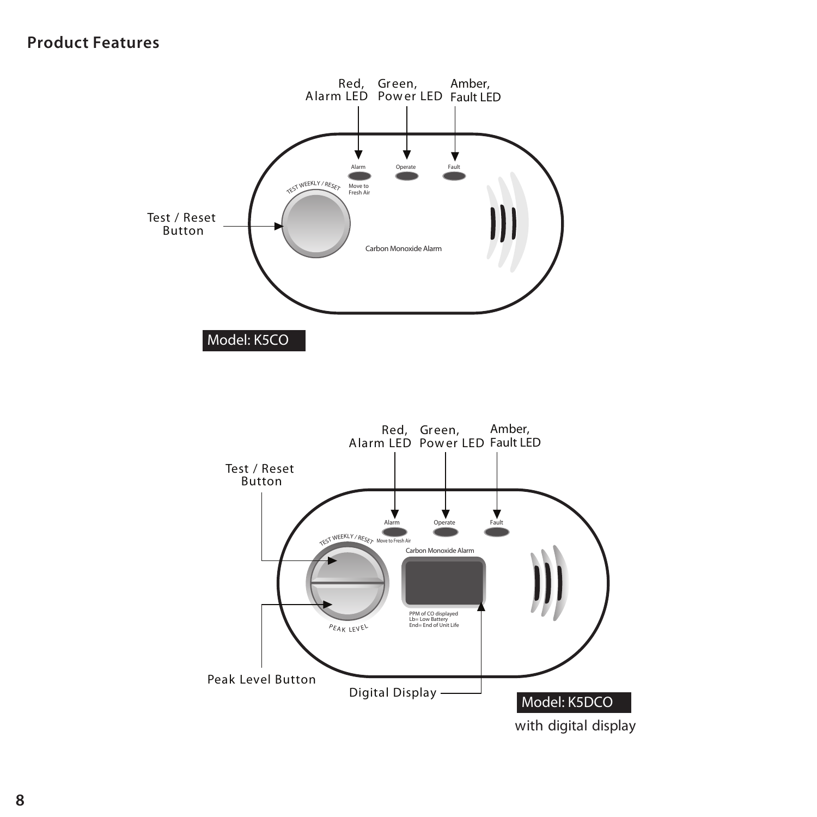### **Product Features**



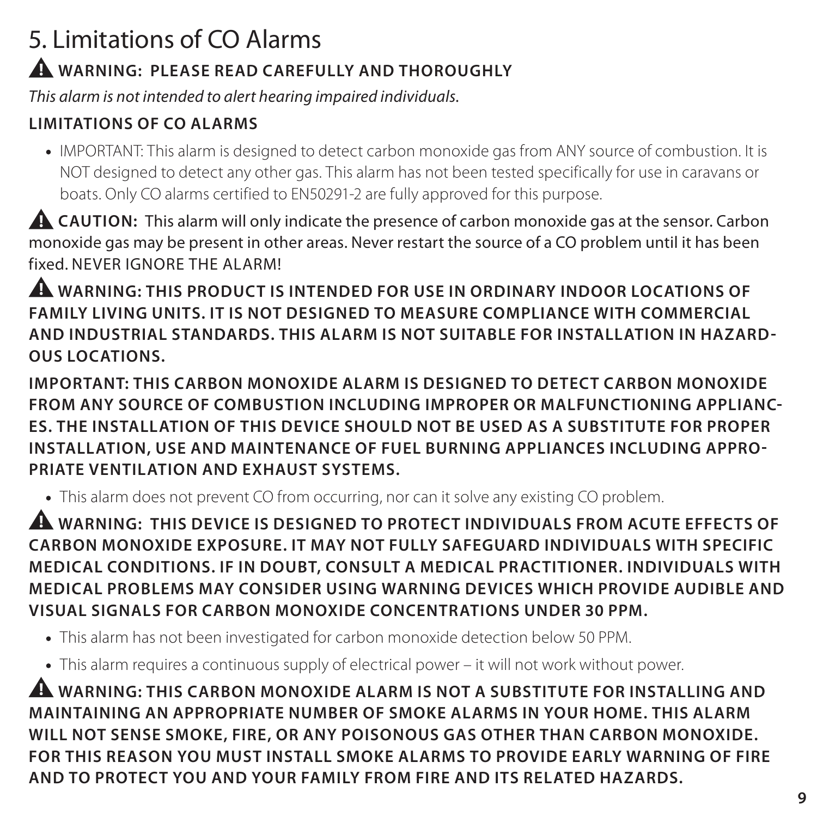### 5. Limitations of CO Alarms

### **WARNING: PLEASE READ CAREFULLY AND THOROUGHLY**

*This alarm is not intended to alert hearing impaired individuals.*

### **LIMITATIONS OF CO ALARMS**

IMPORTANT: This alarm is designed to detect carbon monoxide gas from ANY source of combustion. It is NOT designed to detect any other gas. This alarm has not been tested specifically for use in caravans or boats. Only CO alarms certified to EN50291-2 are fully approved for this purpose.

**A CAUTION:** This alarm will only indicate the presence of carbon monoxide gas at the sensor. Carbon monoxide gas may be present in other areas. Never restart the source of a CO problem until it has been fixed. NEVER IGNORE THE ALARM!

**WARNING: THIS PRODUCT IS INTENDED FOR USE IN ORDINARY INDOOR LOCATIONS OF FAMILY LIVING UNITS. IT IS NOT DESIGNED TO MEASURE COMPLIANCE WITH COMMERCIAL AND INDUSTRIAL STANDARDS. THIS ALARM IS NOT SUITABLE FOR INSTALLATION IN HAZARD OUS LOCATIONS.** 

**IMPORTANT: THIS CARBON MONOXIDE ALARM IS DESIGNED TO DETECT CARBON MONOXIDE FROM ANY SOURCE OF COMBUSTION INCLUDING IMPROPER OR MALFUNCTIONING APPLIANC ES. THE INSTALLATION OF THIS DEVICE SHOULD NOT BE USED AS A SUBSTITUTE FOR PROPER INSTALLATION, USE AND MAINTENANCE OF FUEL BURNING APPLIANCES INCLUDING APPRO PRIATE VENTILATION AND EXHAUST SYSTEMS.**

This alarm does not prevent CO from occurring, nor can it solve any existing CO problem.

**WARNING: THIS DEVICE IS DESIGNED TO PROTECT INDIVIDUALS FROM ACUTE EFFECTS OF CARBON MONOXIDE EXPOSURE. IT MAY NOT FULLY SAFEGUARD INDIVIDUALS WITH SPECIFIC MEDICAL CONDITIONS. IF IN DOUBT, CONSULT A MEDICAL PRACTITIONER. INDIVIDUALS WITH MEDICAL PROBLEMS MAY CONSIDER USING WARNING DEVICES WHICH PROVIDE AUDIBLE AND VISUAL SIGNALS FOR CARBON MONOXIDE CONCENTRATIONS UNDER 30 PPM.**

- This alarm has not been investigated for carbon monoxide detection below 50 PPM.
- This alarm requires a continuous supply of electrical power it will not work without power.

**WARNING: THIS CARBON MONOXIDE ALARM IS NOT A SUBSTITUTE FOR INSTALLING AND MAINTAINING AN APPROPRIATE NUMBER OF SMOKE ALARMS IN YOUR HOME. THIS ALARM WILL NOT SENSE SMOKE, FIRE, OR ANY POISONOUS GAS OTHER THAN CARBON MONOXIDE. FOR THIS REASON YOU MUST INSTALL SMOKE ALARMS TO PROVIDE EARLY WARNING OF FIRE AND TO PROTECT YOU AND YOUR FAMILY FROM FIRE AND ITS RELATED HAZARDS.**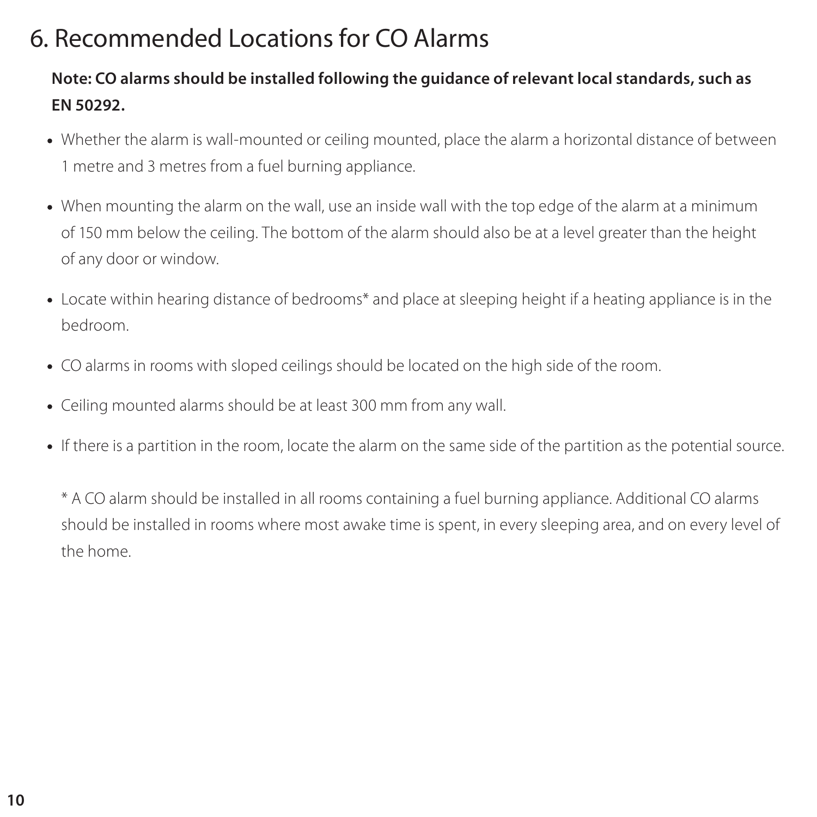### 6. Recommended Locations for CO Alarms

### **Note: CO alarms should be installed following the guidance of relevant local standards, such as EN 50292.**

- Whether the alarm is wall-mounted or ceiling mounted, place the alarm a horizontal distance of between 1 metre and 3 metres from a fuel burning appliance.
- When mounting the alarm on the wall, use an inside wall with the top edge of the alarm at a minimum of 150 mm below the ceiling. The bottom of the alarm should also be at a level greater than the height of any door or window.
- Locate within hearing distance of bedrooms\* and place at sleeping height if a heating appliance is in the bedroom.
- CO alarms in rooms with sloped ceilings should be located on the high side of the room.
- Ceiling mounted alarms should be at least 300 mm from any wall.
- If there is a partition in the room, locate the alarm on the same side of the partition as the potential source.

\* A CO alarm should be installed in all rooms containing a fuel burning appliance. Additional CO alarms should be installed in rooms where most awake time is spent, in every sleeping area, and on every level of the home.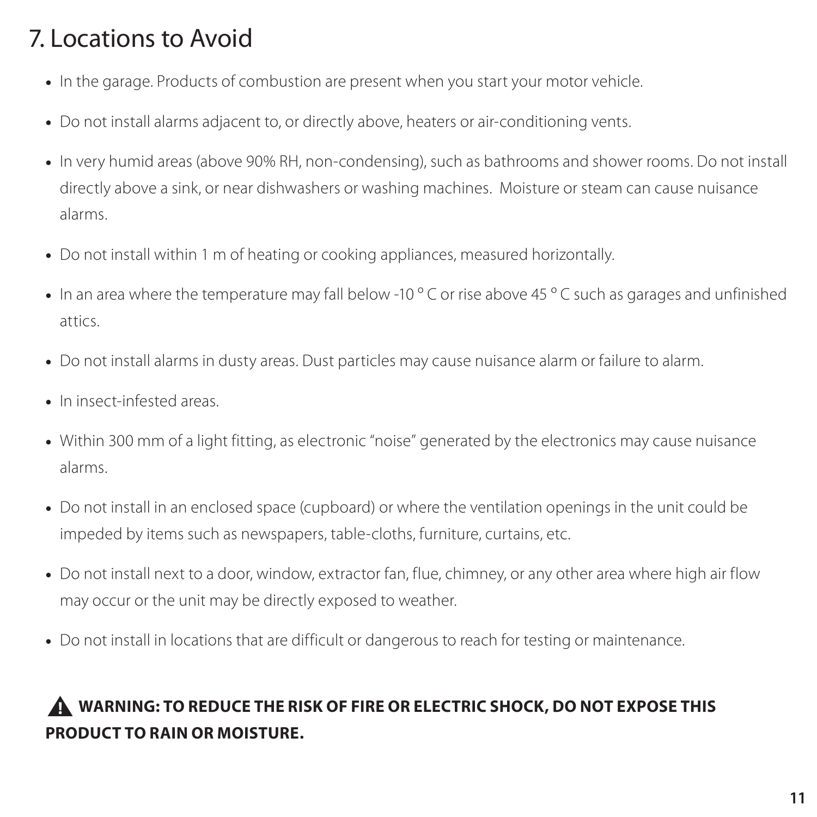### 7. Locations to Avoid

- In the garage. Products of combustion are present when you start your motor vehicle.
- Do not install alarms adjacent to, or directly above, heaters or air-conditioning vents.
- In very humid areas (above 90% RH, non-condensing), such as bathrooms and shower rooms. Do not install directly above a sink, or near dishwashers or washing machines. Moisture or steam can cause nuisance alarms.
- Do not install within 1 m of heating or cooking appliances, measured horizontally.
- In an area where the temperature may fall below -10 °C or rise above 45 °C such as garages and unfinished attics.
- Do not install alarms in dusty areas. Dust particles may cause nuisance alarm or failure to alarm.
- In insect-infested areas.
- Within 300 mm of a light fitting, as electronic "noise" generated by the electronics may cause nuisance alarms.
- Do not install in an enclosed space (cupboard) or where the ventilation openings in the unit could be impeded by items such as newspapers, table-cloths, furniture, curtains, etc.
- Do not install next to a door, window, extractor fan, flue, chimney, or any other area where high air flow may occur or the unit may be directly exposed to weather.
- Do not install in locations that are difficult or dangerous to reach for testing or maintenance.

### **WARNING: TO REDUCE THE RISK OF FIRE OR ELECTRIC SHOCK, DO NOT EXPOSE THIS PRODUCT TO RAIN OR MOISTURE.**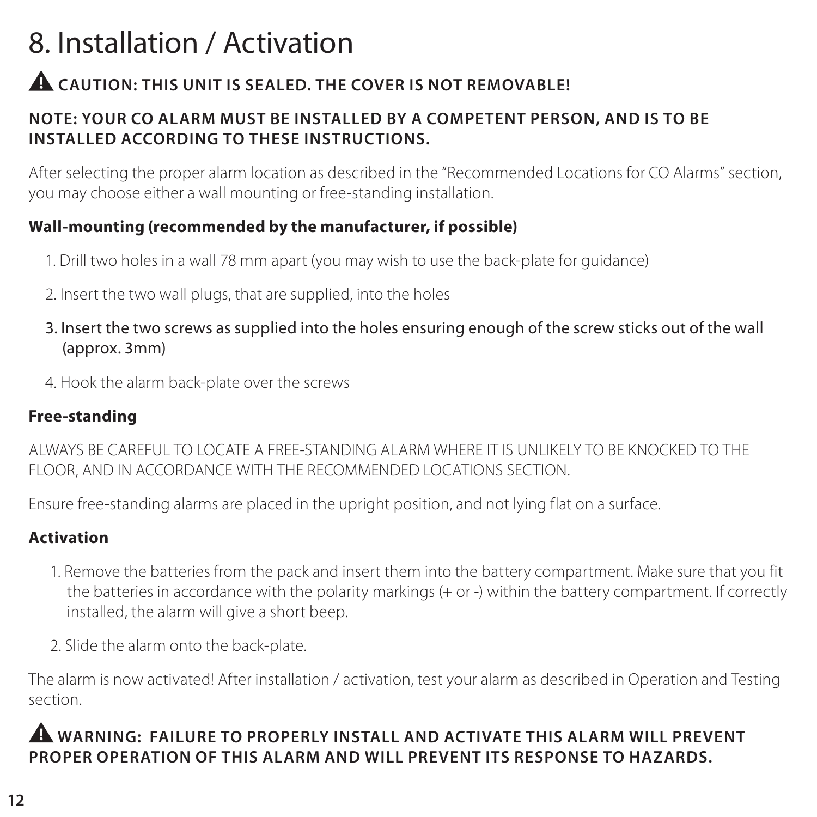### 8. Installation / Activation

### **CAUTION: THIS UNIT IS SEALED. THE COVER IS NOT REMOVABLE!**

#### **NOTE: YOUR CO ALARM MUST BE INSTALLED BY A COMPETENT PERSON, AND IS TO BE INSTALLED ACCORDING TO THESE INSTRUCTIONS.**

After selecting the proper alarm location as described in the "Recommended Locations for CO Alarms" section, you may choose either a wall mounting or free-standing installation.

#### **Wall-mounting (recommended by the manufacturer, if possible)**

- 1. Drill two holes in a wall 78 mm apart (you may wish to use the back-plate for guidance)
- 2. Insert the two wall plugs, that are supplied, into the holes
- 3. Insert the two screws as supplied into the holes ensuring enough of the screw sticks out of the wall (approx. 3mm)
- 4. Hook the alarm back-plate over the screws

#### **Free-standing**

ALWAYS BE CAREFUL TO LOCATE A FREE-STANDING ALARM WHERE IT IS UNLIKELY TO BE KNOCKED TO THE FLOOR, AND IN ACCORDANCE WITH THE RECOMMENDED LOCATIONS SECTION.

Ensure free-standing alarms are placed in the upright position, and not lying flat on a surface.

### **Activation**

- 1. Remove the batteries from the pack and insert them into the battery compartment. Make sure that you fit the batteries in accordance with the polarity markings (+ or -) within the battery compartment. If correctly installed, the alarm will give a short beep.
- 2. Slide the alarm onto the back-plate.

The alarm is now activated! After installation / activation, test your alarm as described in Operation and Testing section.

### **WARNING: FAILURE TO PROPERLY INSTALL AND ACTIVATE THIS ALARM WILL PREVENT PROPER OPERATION OF THIS ALARM AND WILL PREVENT ITS RESPONSE TO HAZARDS.**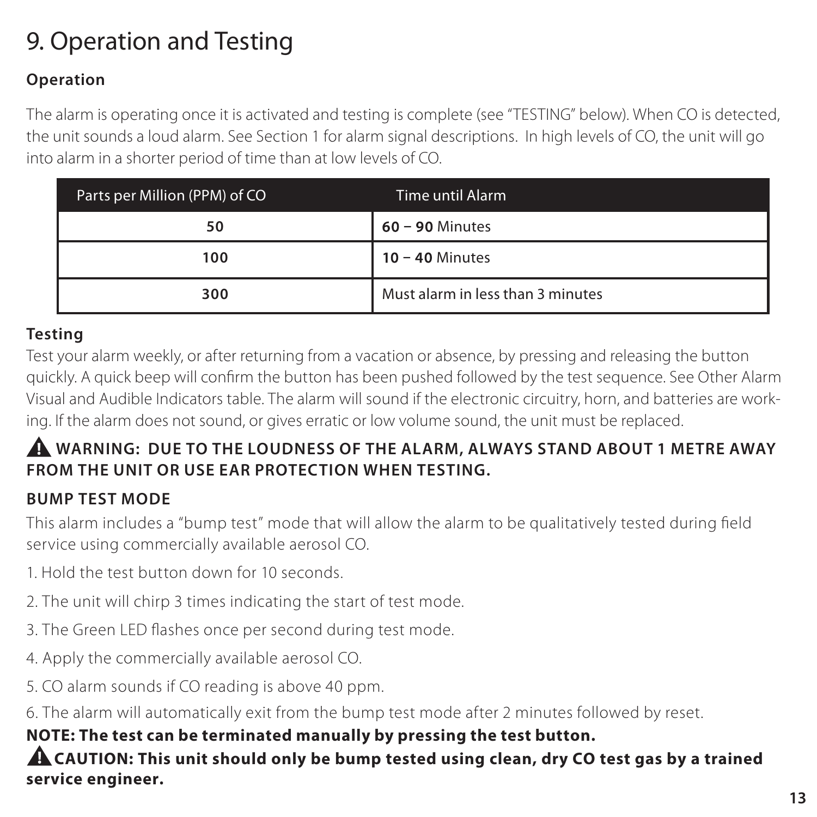### 9. Operation and Testing

### **Operation**

The alarm is operating once it is activated and testing is complete (see "TESTING" below). When CO is detected, the unit sounds a loud alarm. See Section 1 for alarm signal descriptions. In high levels of CO, the unit will go into alarm in a shorter period of time than at low levels of CO.

| Parts per Million (PPM) of CO | Time until Alarm                  |
|-------------------------------|-----------------------------------|
| 50                            | $60 - 90$ Minutes                 |
| 100                           | $10 - 40$ Minutes                 |
| 300                           | Must alarm in less than 3 minutes |

### **Testing**

Test your alarm weekly, or after returning from a vacation or absence, by pressing and releasing the button quickly. A quick beep will confirm the button has been pushed followed by the test sequence. See Other Alarm Visual and Audible Indicators table. The alarm will sound if the electronic circuitry, horn, and batteries are working. If the alarm does not sound, or gives erratic or low volume sound, the unit must be replaced.

### **WARNING: DUE TO THE LOUDNESS OF THE ALARM, ALWAYS STAND ABOUT 1 METRE AWAY FROM THE UNIT OR USE EAR PROTECTION WHEN TESTING.**

### **BUMP TEST MODE**

This alarm includes a "bump test" mode that will allow the alarm to be qualitatively tested during field service using commercially available aerosol CO.

- 1. Hold the test button down for 10 seconds.
- 2. The unit will chirp 3 times indicating the start of test mode.
- 3. The Green LED flashes once per second during test mode.
- 4. Apply the commercially available aerosol CO.
- 5. CO alarm sounds if CO reading is above 40 ppm.
- 6. The alarm will automatically exit from the bump test mode after 2 minutes followed by reset.

### **NOTE: The test can be terminated manually by pressing the test button.**

**ALCAUTION: This unit should only be bump tested using clean, dry CO test gas by a trained service engineer.**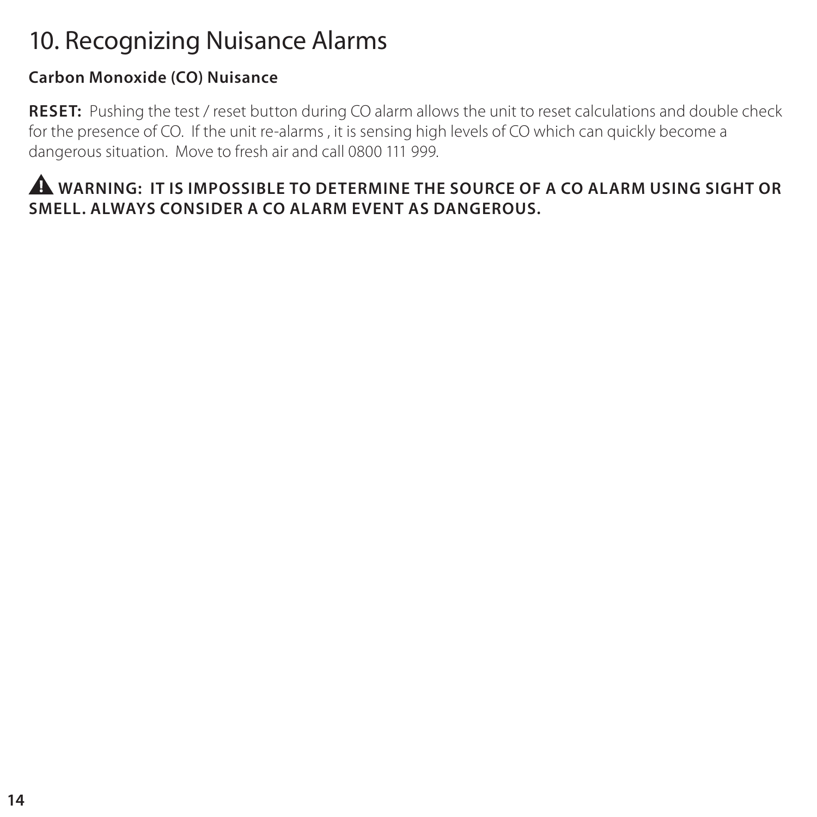### 10. Recognizing Nuisance Alarms

### **Carbon Monoxide (CO) Nuisance**

**RESET:** Pushing the test / reset button during CO alarm allows the unit to reset calculations and double check for the presence of CO. If the unit re-alarms , it is sensing high levels of CO which can quickly become a dangerous situation. Move to fresh air and call 0800 111 999.

### **WARNING: IT IS IMPOSSIBLE TO DETERMINE THE SOURCE OF A CO ALARM USING SIGHT OR SMELL. ALWAYS CONSIDER A CO ALARM EVENT AS DANGEROUS.**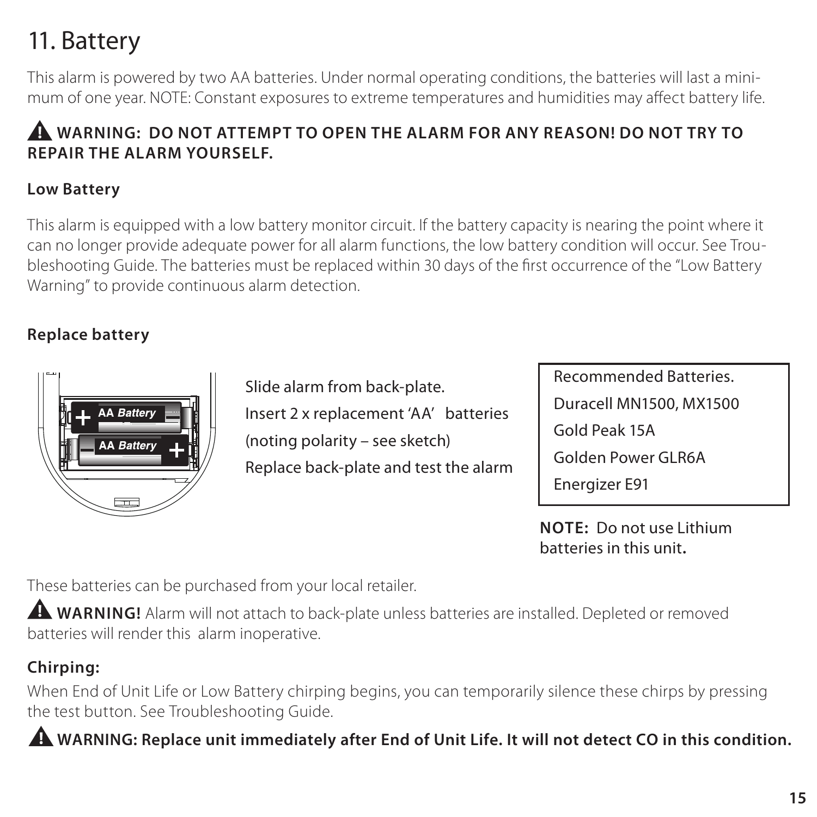### 11. Battery

This alarm is powered by two AA batteries. Under normal operating conditions, the batteries will last a minimum of one year. NOTE: Constant exposures to extreme temperatures and humidities may affect battery life.

### **WARNING: DO NOT ATTEMPT TO OPEN THE ALARM FOR ANY REASON! DO NOT TRY TO REPAIR THE ALARM YOURSELF.**

#### **Low Battery**

This alarm is equipped with a low battery monitor circuit. If the battery capacity is nearing the point where it can no longer provide adequate power for all alarm functions, the low battery condition will occur. See Troubleshooting Guide. The batteries must be replaced within 30 days of the first occurrence of the "Low Battery Warning" to provide continuous alarm detection.

### **Replace battery**



Slide alarm from back-plate. Insert 2 x replacement 'AA' batteries (noting polarity – see sketch) Replace back-plate and test the alarm Recommended Batteries. Duracell MN1500, MX1500 Gold Peak 15A Golden Power GLR6A Energizer E91

**NOTE:** Do not use Lithium batteries in this unit**.**

These batteries can be purchased from your local retailer.

**A** WARNING! Alarm will not attach to back-plate unless batteries are installed. Depleted or removed batteries will render this alarm inoperative.

### **Chirping:**

When End of Unit Life or Low Battery chirping begins, you can temporarily silence these chirps by pressing the test button. See Troubleshooting Guide.

**WARNING: Replace unit immediately after End of Unit Life. It will not detect CO in this condition.**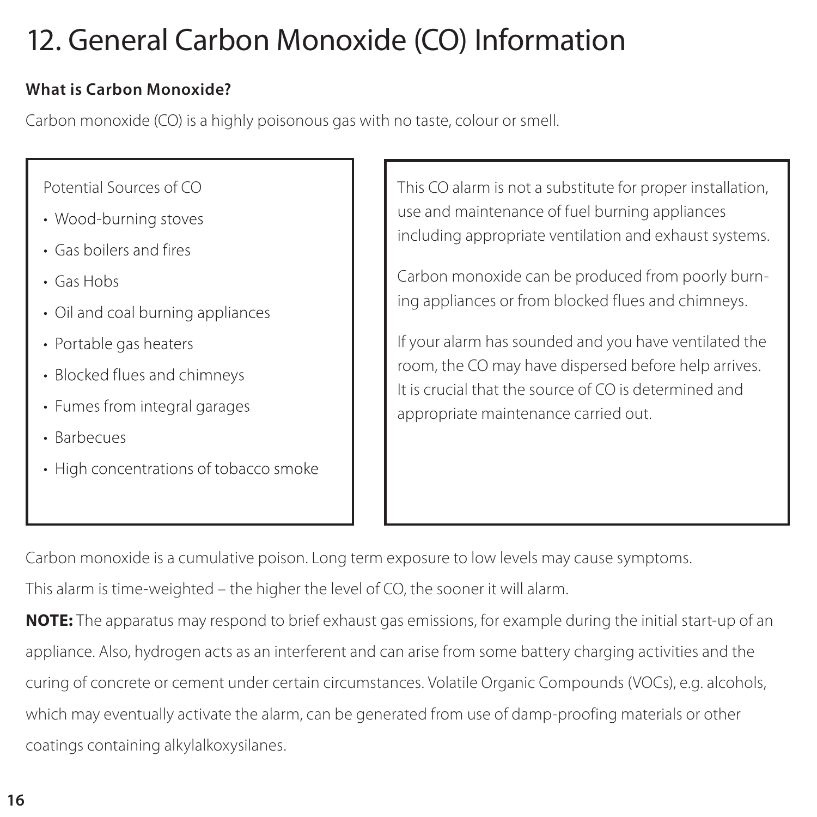### 12. General Carbon Monoxide (CO) Information

#### **What is Carbon Monoxide?**

Carbon monoxide (CO) is a highly poisonous gas with no taste, colour or smell.

- Wood-burning stoves
- Gas boilers and fires
- · Gas Hobs
- Oil and coal burning appliances
- Portable gas heaters
- Blocked flues and chimneys
- Fumes from integral garages
- · Rarhecues
- High concentrations of tobacco smoke

Potential Sources of CO This CO alarm is not a substitute for proper installation, use and maintenance of fuel burning appliances including appropriate ventilation and exhaust systems.

> Carbon monoxide can be produced from poorly burning appliances or from blocked flues and chimneys.

> If your alarm has sounded and you have ventilated the room, the CO may have dispersed before help arrives. It is crucial that the source of CO is determined and appropriate maintenance carried out.

Carbon monoxide is a cumulative poison. Long term exposure to low levels may cause symptoms.

This alarm is time-weighted – the higher the level of CO, the sooner it will alarm.

**NOTE:** The apparatus may respond to brief exhaust gas emissions, for example during the initial start-up of an appliance. Also, hydrogen acts as an interferent and can arise from some battery charging activities and the curing of concrete or cement under certain circumstances. Volatile Organic Compounds (VOCs), e.g. alcohols, which may eventually activate the alarm, can be generated from use of damp-proofing materials or other coatings containing alkylalkoxysilanes.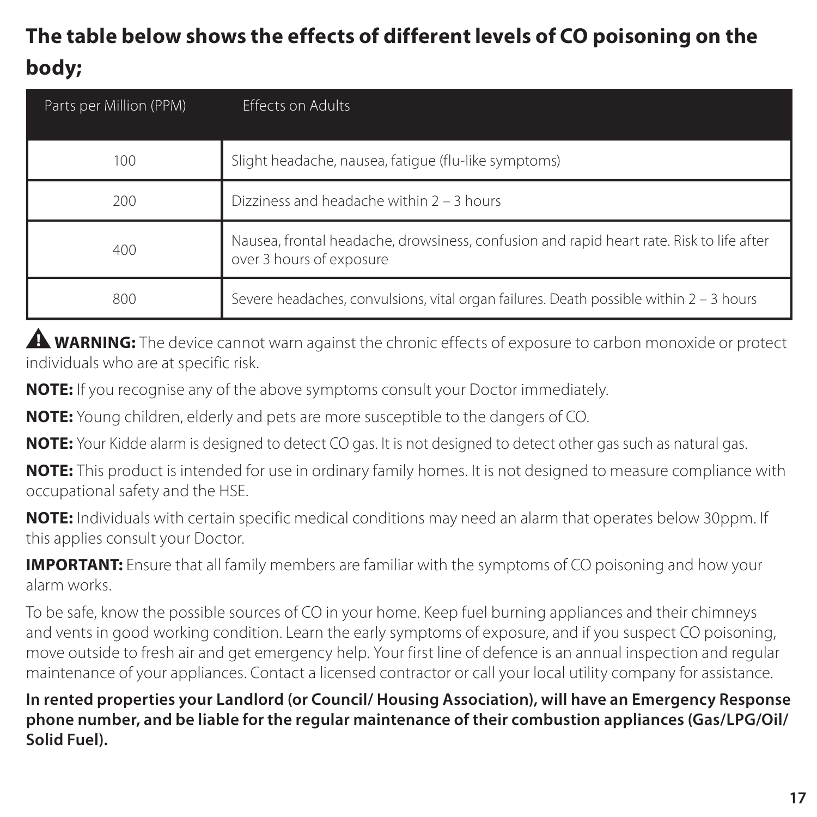### **The table below shows the effects of different levels of CO poisoning on the body;**

| Parts per Million (PPM) | <b>Effects on Adults</b>                                                                                             |
|-------------------------|----------------------------------------------------------------------------------------------------------------------|
| 100                     | Slight headache, nausea, fatique (flu-like symptoms)                                                                 |
| 200                     | Dizziness and headache within 2 - 3 hours                                                                            |
| 400                     | Nausea, frontal headache, drowsiness, confusion and rapid heart rate. Risk to life after<br>over 3 hours of exposure |
| 800                     | Severe headaches, convulsions, vital organ failures. Death possible within 2 - 3 hours                               |

**WARNING:** The device cannot warn against the chronic effects of exposure to carbon monoxide or protect individuals who are at specific risk.

**NOTE:** If you recognise any of the above symptoms consult your Doctor immediately.

**NOTE:** Young children, elderly and pets are more susceptible to the dangers of CO.

**NOTE:** Your Kidde alarm is designed to detect CO gas. It is not designed to detect other gas such as natural gas.

**NOTE:** This product is intended for use in ordinary family homes. It is not designed to measure compliance with occupational safety and the HSE.

**NOTE:** Individuals with certain specific medical conditions may need an alarm that operates below 30ppm. If this applies consult your Doctor.

**IMPORTANT:** Ensure that all family members are familiar with the symptoms of CO poisoning and how your alarm works.

To be safe, know the possible sources of CO in your home. Keep fuel burning appliances and their chimneys and vents in good working condition. Learn the early symptoms of exposure, and if you suspect CO poisoning, move outside to fresh air and get emergency help. Your first line of defence is an annual inspection and regular maintenance of your appliances. Contact a licensed contractor or call your local utility company for assistance.

**In rented properties your Landlord (or Council/ Housing Association), will have an Emergency Response phone number, and be liable for the regular maintenance of their combustion appliances (Gas/LPG/Oil/ Solid Fuel).**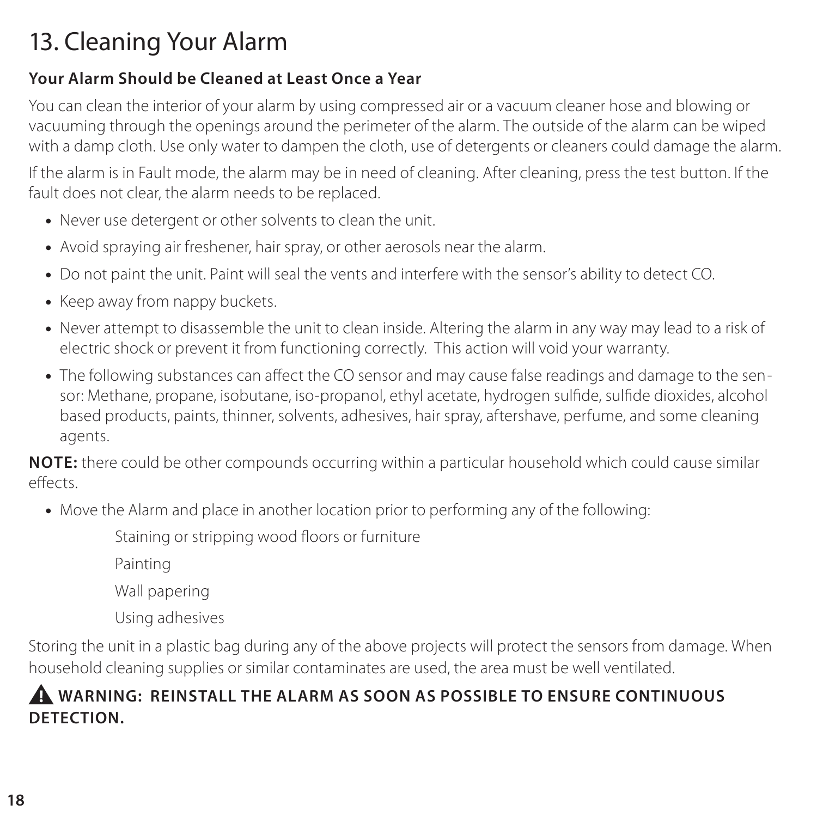### 13. Cleaning Your Alarm

### **Your Alarm Should be Cleaned at Least Once a Year**

You can clean the interior of your alarm by using compressed air or a vacuum cleaner hose and blowing or vacuuming through the openings around the perimeter of the alarm. The outside of the alarm can be wiped with a damp cloth. Use only water to dampen the cloth, use of detergents or cleaners could damage the alarm.

If the alarm is in Fault mode, the alarm may be in need of cleaning. After cleaning, press the test button. If the fault does not clear, the alarm needs to be replaced.

- Never use detergent or other solvents to clean the unit.
- Avoid spraying air freshener, hair spray, or other aerosols near the alarm.
- Do not paint the unit. Paint will seal the vents and interfere with the sensor's ability to detect CO.
- Keep away from nappy buckets.
- Never attempt to disassemble the unit to clean inside. Altering the alarm in any way may lead to a risk of electric shock or prevent it from functioning correctly. This action will void your warranty.
- The following substances can affect the CO sensor and may cause false readings and damage to the sensor: Methane, propane, isobutane, iso-propanol, ethyl acetate, hydrogen sulde, sulde dioxides, alcohol based products, paints, thinner, solvents, adhesives, hair spray, aftershave, perfume, and some cleaning agents.

**NOTE:** there could be other compounds occurring within a particular household which could cause similar effects.

• Move the Alarm and place in another location prior to performing any of the following:

Staining or stripping wood floors or furniture

Painting

Wall papering

Using adhesives

Storing the unit in a plastic bag during any of the above projects will protect the sensors from damage. When household cleaning supplies or similar contaminates are used, the area must be well ventilated.

### **WARNING: REINSTALL THE ALARM AS SOON AS POSSIBLE TO ENSURE CONTINUOUS DETECTION.**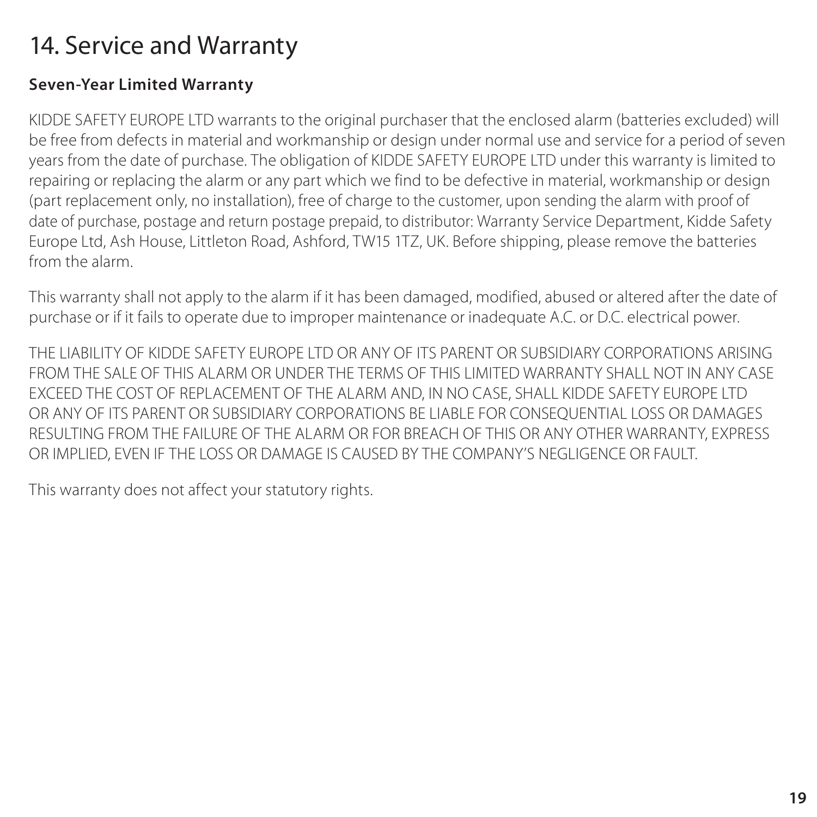### 14. Service and Warranty

#### **Seven-Year Limited Warranty**

KIDDE SAFETY EUROPE LTD warrants to the original purchaser that the enclosed alarm (batteries excluded) will be free from defects in material and workmanship or design under normal use and service for a period of seven years from the date of purchase. The obligation of KIDDE SAFETY EUROPE LTD under this warranty is limited to repairing or replacing the alarm or any part which we find to be defective in material, workmanship or design (part replacement only, no installation), free of charge to the customer, upon sending the alarm with proof of date of purchase, postage and return postage prepaid, to distributor: Warranty Service Department, Kidde Safety Europe Ltd, Ash House, Littleton Road, Ashford, TW15 1TZ, UK. Before shipping, please remove the batteries from the alarm.

This warranty shall not apply to the alarm if it has been damaged, modified, abused or altered after the date of purchase or if it fails to operate due to improper maintenance or inadequate A.C. or D.C. electrical power.

THE LIABILITY OF KIDDE SAFETY EUROPE LTD OR ANY OF ITS PARENT OR SUBSIDIARY CORPORATIONS ARISING FROM THE SALE OF THIS ALARM OR UNDER THE TERMS OF THIS LIMITED WARRANTY SHALL NOT IN ANY CASE EXCEED THE COST OF REPLACEMENT OF THE ALARM AND, IN NO CASE, SHALL KIDDE SAFETY EUROPE LTD OR ANY OF ITS PARENT OR SUBSIDIARY CORPORATIONS BE LIABLE FOR CONSEQUENTIAL LOSS OR DAMAGES RESULTING FROM THE FAILURE OF THE ALARM OR FOR BREACH OF THIS OR ANY OTHER WARRANTY, EXPRESS OR IMPLIED, EVEN IF THE LOSS OR DAMAGE IS CAUSED BY THE COMPANY'S NEGLIGENCE OR FAULT.

This warranty does not affect your statutory rights.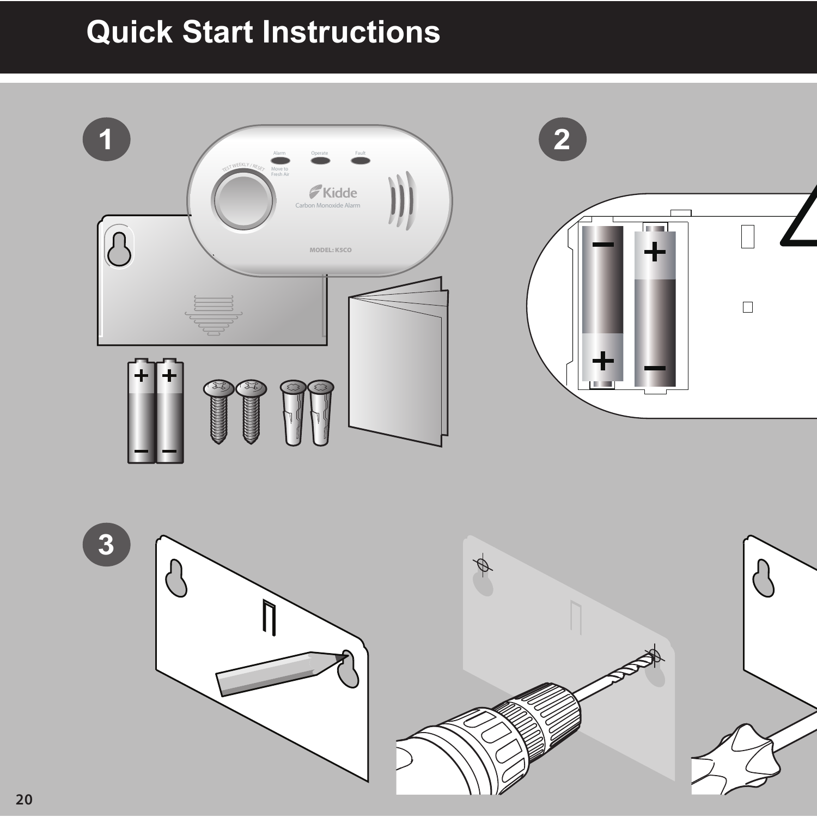## **Quick Start Instructions Quick Start Instructions**



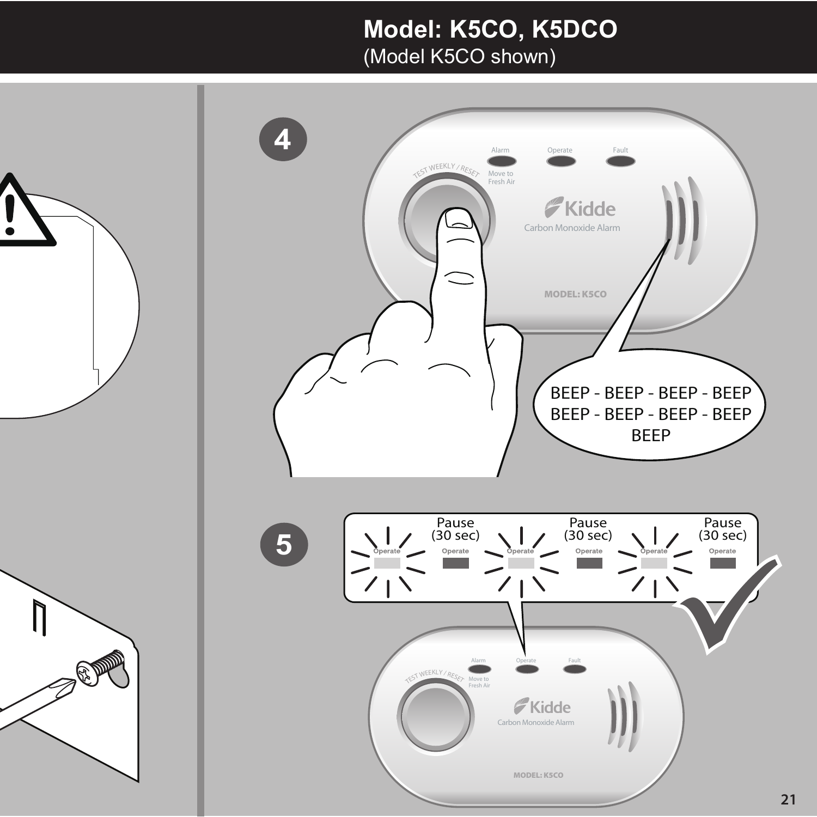### **Model: K5CO, K5DCO Model: K5CO, K5DCO**

(Model K5CO shown) (Model K5CO shown)